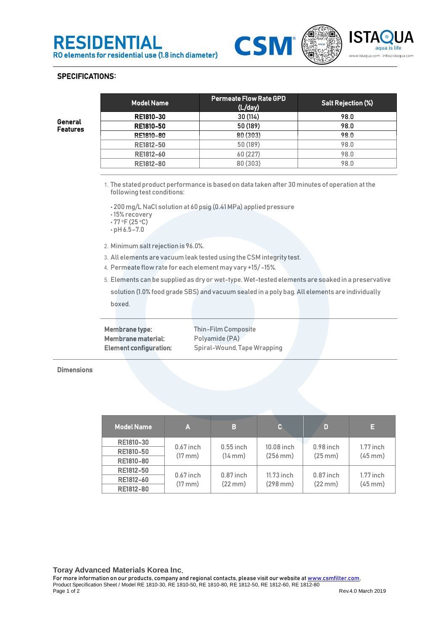



## SPECIFICATIONS:

General Features

| <b>Model Name</b> | <b>Permeate Flow Rate GPD</b><br>(L/day) | <b>Salt Rejection (%)</b> |  |
|-------------------|------------------------------------------|---------------------------|--|
| RE1810-30         | 30 (114)                                 | 98.0                      |  |
| <b>RE1810-50</b>  | 50 (189)                                 | 98.0                      |  |
| RE1810-80         | 80 (303)                                 | 98.0                      |  |
| RE1812-50         | 50 (189)                                 | 98.0                      |  |
| RE1812-60         | 60 (227)                                 | 98.0                      |  |
| <b>RE1812-80</b>  | 80 (303)                                 | 98.0                      |  |
|                   |                                          |                           |  |

1. The stated product performance is based on data taken after 30 minutes of operation at the following test conditions:

• 200 mg/L NaCl solution at 60psig (0.41MPa) applied pressure

- 15% recovery
- $-77$  °F (25 °C)
- pH 6.5–7.0
- 2. Minimum salt rejection is 96.0%.
- 3. All elements are vacuum leak tested using the CSM integrity test.
- 4. Permeate flow rate for each element may vary +15/ -15%.
- 5. Elements can be supplied as dry or wet-type. Wet-tested elements are soaked in a preservative

solution (1.0% food grade SBS) and vacuum sealed in a poly bag. All elements are individually boxed.

Membrane type: Thin-Film Composite Membrane material: Polyamide (PA)

Element configuration: Spiral-Wound, Tape Wrapping

**Dimensions** 

| <b>Model Name</b> | ľΔ                               | В                                | c.                          | D                                | Е                           |
|-------------------|----------------------------------|----------------------------------|-----------------------------|----------------------------------|-----------------------------|
| <b>RE1810-30</b>  | $0.67$ inch<br>$(17 \text{ mm})$ | $0.55$ inch<br>$(14 \text{ mm})$ | 10.08 inch<br>$(256$ mm $)$ | $0.98$ inch<br>$(25 \text{ mm})$ | $1.77$ inch<br>$(45$ mm $)$ |
| RE1810-50         |                                  |                                  |                             |                                  |                             |
| <b>RE1810-80</b>  |                                  |                                  |                             |                                  |                             |
| RE1812-50         | $0.67$ inch<br>$(17 \text{ mm})$ | $0.87$ inch<br>$(22 \text{ mm})$ | 11.73 inch<br>$(298$ mm $)$ | $0.87$ inch<br>$(22 \text{ mm})$ | $1.77$ inch<br>$(45$ mm $)$ |
| RE1812-60         |                                  |                                  |                             |                                  |                             |
| <b>RE1812-80</b>  |                                  |                                  |                             |                                  |                             |

**Toray Advanced Materials Korea Inc**.

For more information on our products, company and regional contacts, please visit our website a[t www.csmfilter.com.](http://www.csmfilter.com/) Product Specification Sheet / Model RE 1810-30, RE 1810-50, RE 1810-80, RE 1812-50, RE 1812-60, RE 1812-80<br>Page 1 of 2